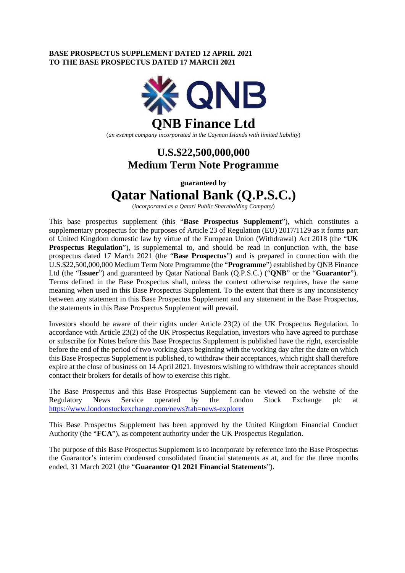### **BASE PROSPECTUS SUPPLEMENT DATED 12 APRIL 2021 TO THE BASE PROSPECTUS DATED 17 MARCH 2021**



(*an exempt company incorporated in the Cayman Islands with limited liability*)

## **U.S.\$22,500,000,000 Medium Term Note Programme**

**guaranteed by** 

# **Qatar National Bank (Q.P.S.C.)**

(*incorporated as a Qatari Public Shareholding Company*)

This base prospectus supplement (this "**Base Prospectus Supplement**"), which constitutes a supplementary prospectus for the purposes of Article 23 of Regulation (EU) 2017/1129 as it forms part of United Kingdom domestic law by virtue of the European Union (Withdrawal) Act 2018 (the "**UK Prospectus Regulation**"), is supplemental to, and should be read in conjunction with, the base prospectus dated 17 March 2021 (the "**Base Prospectus**") and is prepared in connection with the U.S.\$22,500,000,000 Medium Term Note Programme (the "**Programme**") established by QNB Finance Ltd (the "**Issuer**") and guaranteed by Qatar National Bank (Q.P.S.C.) ("**QNB**" or the "**Guarantor**"). Terms defined in the Base Prospectus shall, unless the context otherwise requires, have the same meaning when used in this Base Prospectus Supplement. To the extent that there is any inconsistency between any statement in this Base Prospectus Supplement and any statement in the Base Prospectus, the statements in this Base Prospectus Supplement will prevail.

Investors should be aware of their rights under Article 23(2) of the UK Prospectus Regulation. In accordance with Article 23(2) of the UK Prospectus Regulation, investors who have agreed to purchase or subscribe for Notes before this Base Prospectus Supplement is published have the right, exercisable before the end of the period of two working days beginning with the working day after the date on which this Base Prospectus Supplement is published, to withdraw their acceptances, which right shall therefore expire at the close of business on 14 April 2021. Investors wishing to withdraw their acceptances should contact their brokers for details of how to exercise this right.

The Base Prospectus and this Base Prospectus Supplement can be viewed on the website of the Regulatory News Service operated by the London Stock Exchange plc at <https://www.londonstockexchange.com/news?tab=news-explorer>

This Base Prospectus Supplement has been approved by the United Kingdom Financial Conduct Authority (the "**FCA**"), as competent authority under the UK Prospectus Regulation.

The purpose of this Base Prospectus Supplement is to incorporate by reference into the Base Prospectus the Guarantor's interim condensed consolidated financial statements as at, and for the three months ended, 31 March 2021 (the "**Guarantor Q1 2021 Financial Statements**").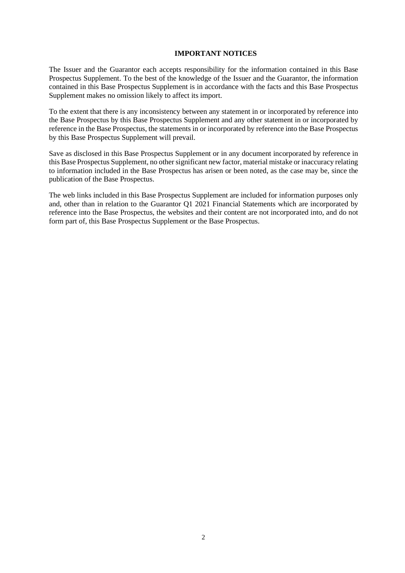### **IMPORTANT NOTICES**

The Issuer and the Guarantor each accepts responsibility for the information contained in this Base Prospectus Supplement. To the best of the knowledge of the Issuer and the Guarantor, the information contained in this Base Prospectus Supplement is in accordance with the facts and this Base Prospectus Supplement makes no omission likely to affect its import.

To the extent that there is any inconsistency between any statement in or incorporated by reference into the Base Prospectus by this Base Prospectus Supplement and any other statement in or incorporated by reference in the Base Prospectus, the statements in or incorporated by reference into the Base Prospectus by this Base Prospectus Supplement will prevail.

Save as disclosed in this Base Prospectus Supplement or in any document incorporated by reference in this Base Prospectus Supplement, no other significant new factor, material mistake or inaccuracy relating to information included in the Base Prospectus has arisen or been noted, as the case may be, since the publication of the Base Prospectus.

The web links included in this Base Prospectus Supplement are included for information purposes only and, other than in relation to the Guarantor Q1 2021 Financial Statements which are incorporated by reference into the Base Prospectus, the websites and their content are not incorporated into, and do not form part of, this Base Prospectus Supplement or the Base Prospectus.